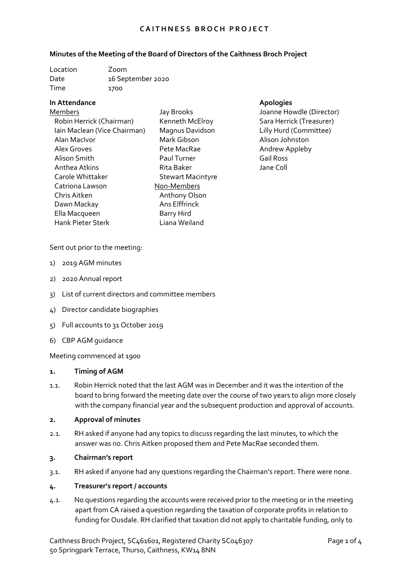#### **Minutes of the Meeting of the Board of Directors of the Caithness Broch Project**

| Location | Zoom              |
|----------|-------------------|
| Date     | 16 September 2020 |
| Time     | 1700              |

## **In Attendance Apologies**

Members Robin Herrick (Chairman) Iain Maclean (Vice Chairman) Alan MacIvor Alex Groves Alison Smith Anthea Atkins Carole Whittaker Catriona Lawson Chris Aitken Dawn Mackay Ella Macqueen Hank Pieter Sterk Liana Weiland

Jay Brooks Kenneth McElroy Magnus Davidson Mark Gibson Pete MacRae Paul Turner Rita Baker Stewart Macintyre Non-Members Anthony Olson Ans Elffrinck Barry Hird

Joanne Howdle (Director) Sara Herrick (Treasurer) Lilly Hurd (Committee) Alison Johnston Andrew Appleby Gail Ross Jane Coll

Sent out prior to the meeting:

- 1) 2019 AGM minutes
- 2) 2020 Annual report
- 3) List of current directors and committee members
- 4) Director candidate biographies
- 5) Full accounts to 31 October 2019
- 6) CBP AGM guidance

Meeting commenced at 1900

#### **1. Timing of AGM**

1.1. Robin Herrick noted that the last AGM was in December and it was the intention of the board to bring forward the meeting date over the course of two years to align more closely with the company financial year and the subsequent production and approval of accounts.

#### **2. Approval of minutes**

2.1. RH asked if anyone had any topics to discuss regarding the last minutes, to which the answer was no. Chris Aitken proposed them and Pete MacRae seconded them.

#### **3. Chairman's report**

3.1. RH asked if anyone had any questions regarding the Chairman's report. There were none.

#### **4. Treasurer's report / accounts**

4.1. No questions regarding the accounts were received prior to the meeting or in the meeting apart from CA raised a question regarding the taxation of corporate profits in relation to funding for Ousdale. RH clarified that taxation did not apply to charitable funding, only to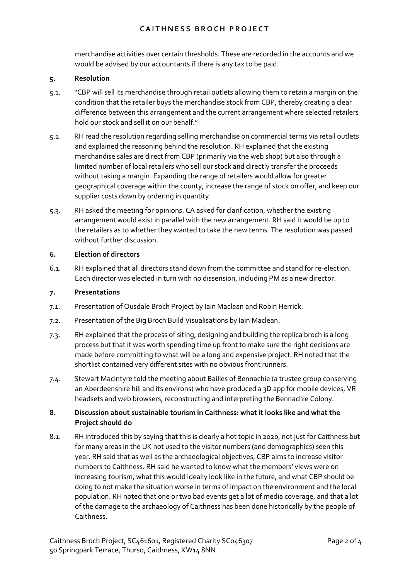merchandise activities over certain thresholds. These are recorded in the accounts and we would be advised by our accountants if there is any tax to be paid.

#### **5. Resolution**

- 5.1. "CBP will sell its merchandise through retail outlets allowing them to retain a margin on the condition that the retailer buys the merchandise stock from CBP, thereby creating a clear difference between this arrangement and the current arrangement where selected retailers hold our stock and sell it on our behalf."
- 5.2. RH read the resolution regarding selling merchandise on commercial terms via retail outlets and explained the reasoning behind the resolution. RH explained that the existing merchandise sales are direct from CBP (primarily via the web shop) but also through a limited number of local retailers who sell our stock and directly transfer the proceeds without taking a margin. Expanding the range of retailers would allow for greater geographical coverage within the county, increase the range of stock on offer, and keep our supplier costs down by ordering in quantity.
- 5.3. RH asked the meeting for opinions. CA asked for clarification, whether the existing arrangement would exist in parallel with the new arrangement. RH said it would be up to the retailers as to whether they wanted to take the new terms. The resolution was passed without further discussion.

## **6. Election of directors**

6.1. RH explained that all directors stand down from the committee and stand for re-election. Each director was elected in turn with no dissension, including PM as a new director.

#### **7. Presentations**

- 7.1. Presentation of Ousdale Broch Project by Iain Maclean and Robin Herrick.
- 7.2. Presentation of the Big Broch Build Visualisations by Iain Maclean.
- 7.3. RH explained that the process of siting, designing and building the replica broch is a long process but that it was worth spending time up front to make sure the right decisions are made before committing to what will be a long and expensive project. RH noted that the shortlist contained very different sites with no obvious front runners.
- 7.4. Stewart MacIntyre told the meeting about Bailies of Bennachie (a trustee group conserving an Aberdeenshire hill and its environs) who have produced a 3D app for mobile devices, VR headsets and web browsers, reconstructing and interpreting the Bennachie Colony.

# **8. Discussion about sustainable tourism in Caithness: what it looks like and what the Project should do**

8.1. RH introduced this by saying that this is clearly a hot topic in 2020, not just for Caithness but for many areas in the UK not used to the visitor numbers (and demographics) seen this year. RH said that as well as the archaeological objectives, CBP aims to increase visitor numbers to Caithness. RH said he wanted to know what the members' views were on increasing tourism, what this would ideally look like in the future, and what CBP should be doing to not make the situation worse in terms of impact on the environment and the local population. RH noted that one or two bad events get a lot of media coverage, and that a lot of the damage to the archaeology of Caithness has been done historically by the people of Caithness.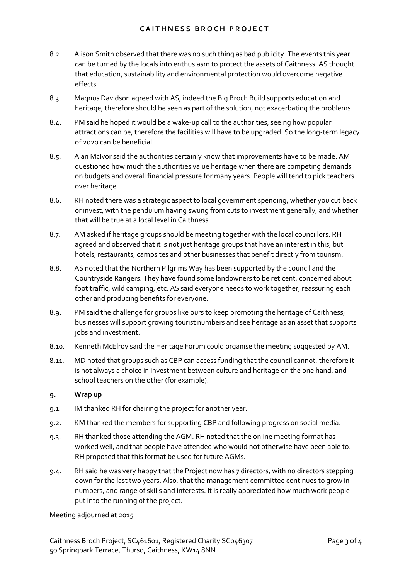- 8.2. Alison Smith observed that there was no such thing as bad publicity. The events this year can be turned by the locals into enthusiasm to protect the assets of Caithness. AS thought that education, sustainability and environmental protection would overcome negative effects.
- 8.3. Magnus Davidson agreed with AS, indeed the Big Broch Build supports education and heritage, therefore should be seen as part of the solution, not exacerbating the problems.
- 8.4. PM said he hoped it would be a wake-up call to the authorities, seeing how popular attractions can be, therefore the facilities will have to be upgraded. So the long-term legacy of 2020 can be beneficial.
- 8.5. Alan McIvor said the authorities certainly know that improvements have to be made. AM questioned how much the authorities value heritage when there are competing demands on budgets and overall financial pressure for many years. People will tend to pick teachers over heritage.
- 8.6. RH noted there was a strategic aspect to local government spending, whether you cut back or invest, with the pendulum having swung from cuts to investment generally, and whether that will be true at a local level in Caithness.
- 8.7. AM asked if heritage groups should be meeting together with the local councillors. RH agreed and observed that it is not just heritage groups that have an interest in this, but hotels, restaurants, campsites and other businesses that benefit directly from tourism.
- 8.8. AS noted that the Northern Pilgrims Way has been supported by the council and the Countryside Rangers. They have found some landowners to be reticent, concerned about foot traffic, wild camping, etc. AS said everyone needs to work together, reassuring each other and producing benefits for everyone.
- 8.9. PM said the challenge for groups like ours to keep promoting the heritage of Caithness; businesses will support growing tourist numbers and see heritage as an asset that supports jobs and investment.
- 8.10. Kenneth McElroy said the Heritage Forum could organise the meeting suggested by AM.
- 8.11. MD noted that groups such as CBP can access funding that the council cannot, therefore it is not always a choice in investment between culture and heritage on the one hand, and school teachers on the other (for example).

## **9. Wrap up**

- 9.1. IM thanked RH for chairing the project for another year.
- 9.2. KM thanked the members for supporting CBP and following progress on social media.
- 9.3. RH thanked those attending the AGM. RH noted that the online meeting format has worked well, and that people have attended who would not otherwise have been able to. RH proposed that this format be used for future AGMs.
- 9.4. RH said he was very happy that the Project now has 7 directors, with no directors stepping down for the last two years. Also, that the management committee continues to grow in numbers, and range of skills and interests. It is really appreciated how much work people put into the running of the project.

## Meeting adjourned at 2015